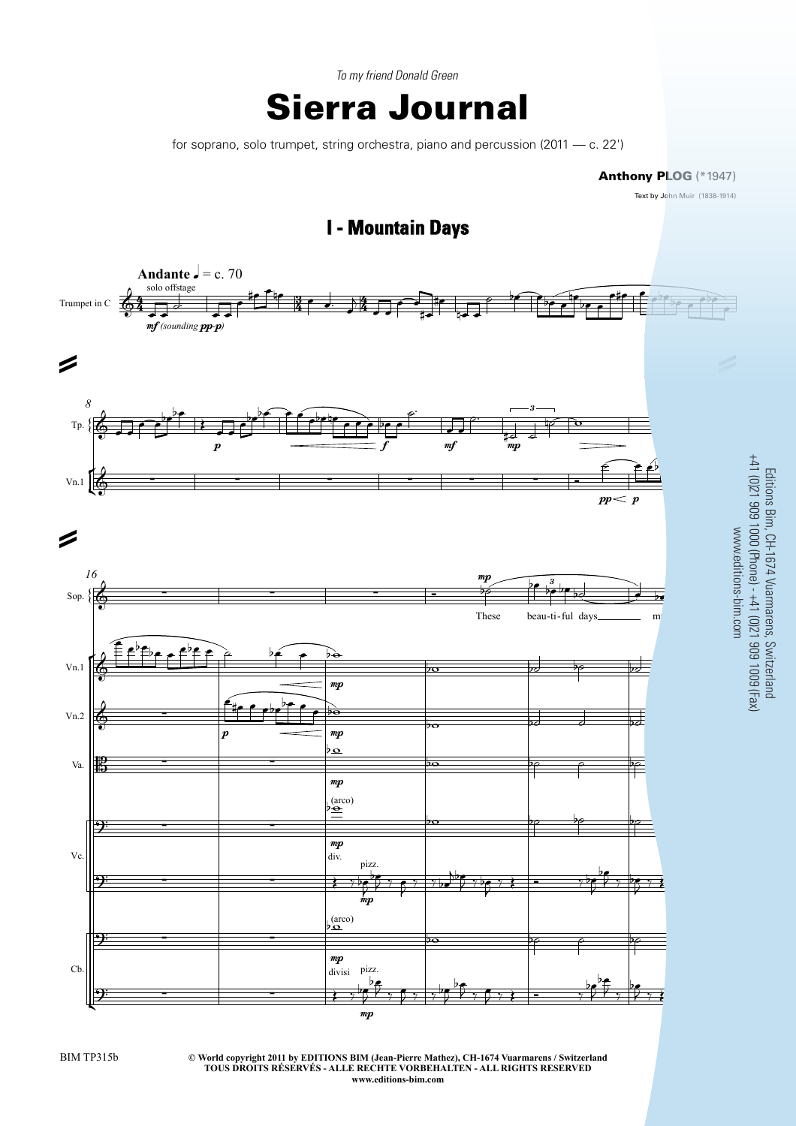*To my friend Donald Green*

## Sierra Journal

for soprano, solo trumpet, string orchestra, piano and percussion (2011 — c. 22')



Text by John Muir (1838-1914)





Editions Bim, CH-1674 Vuarmarens, Switzerland +41 (0)21 909 1000 (Phone) - +41 (0)21 909 1009 (Fax)

**© World copyright 2011 by EDITIONS BIM (Jean-Pierre Mathez), CH-1674 Vuarmarens / Switzerland TOUS DROITS RESERVES - ALLE RECHTE VORBEHALTEN - ALL RIGHTS RESERVED**<br>TOUS DROITS RÉSERVÉS - ALLE RECHTE VORBEHALTEN - ALL RIGHTS RESERVED **www.editions-bim.com**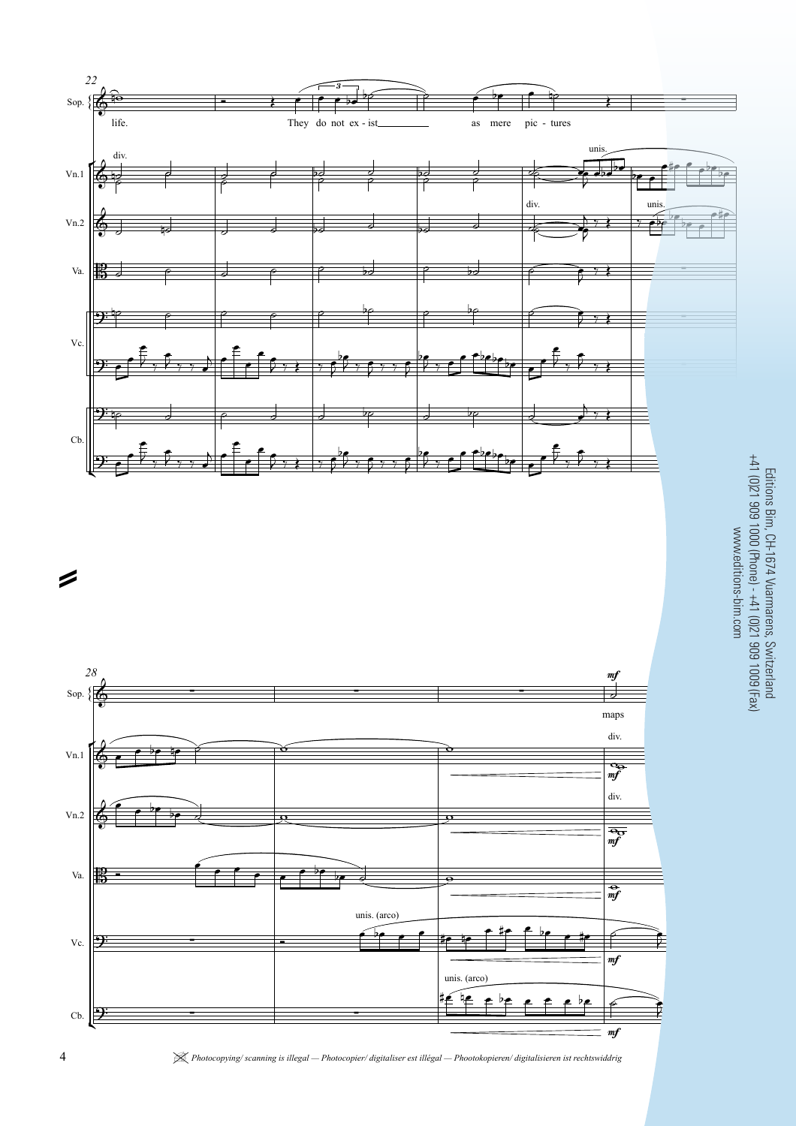



4 <sup>|</sup> *Photocopying/ scanning is illegal — Photocopier/ digitaliser est illégal — Phootokopieren/ digitalisieren ist rechtswiddrig* BIM TP315b

Editions Bim, CH-1674 Vuarmarens, Switzerland +41 (0)21 909 1000 (Phone) - +41 (0)21 909 1009 (Fax)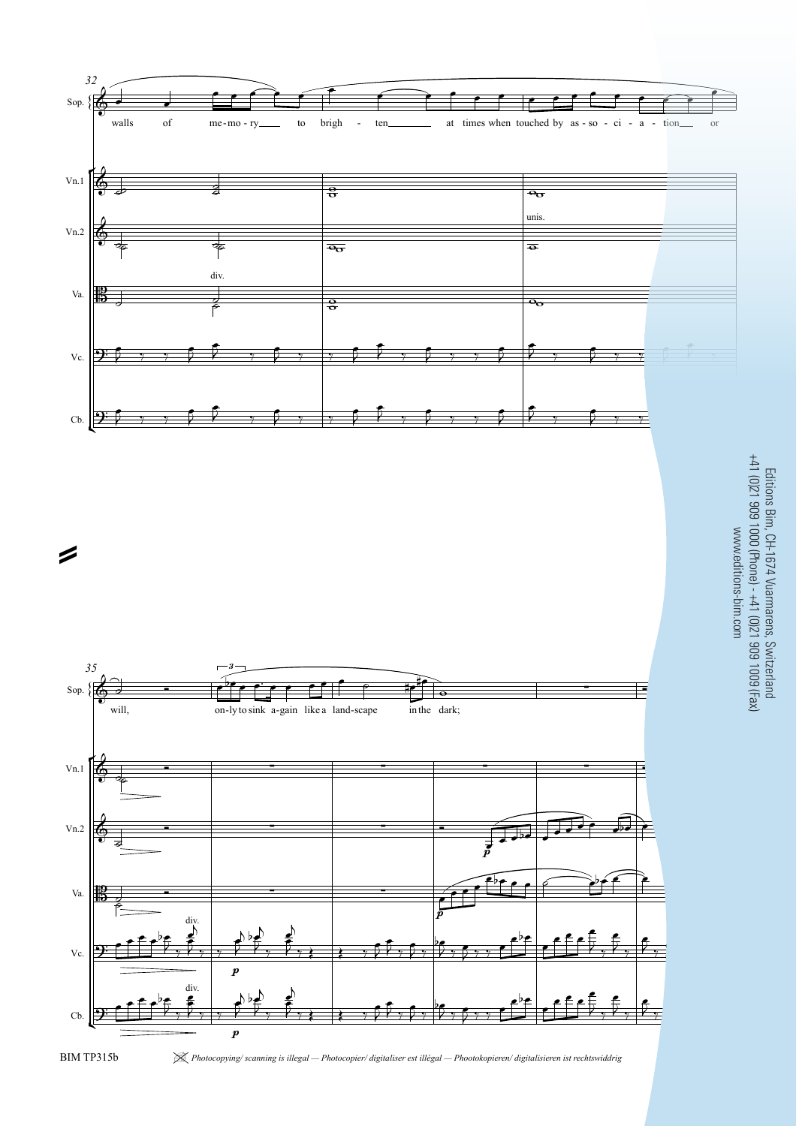

Editions Bim, CH-1674 Vuarmarens, Switzerland<br>+41 (0)21 909 1000 (Phone) - +41 (0)21 909 1009 (Fax)<br>www.editions-bim.com Editions Bim, CH-1674 Vuarmarens, Switzerland +41 (0)21 909 1000 (Phone) - +41 (0)21 909 1009 (Fax)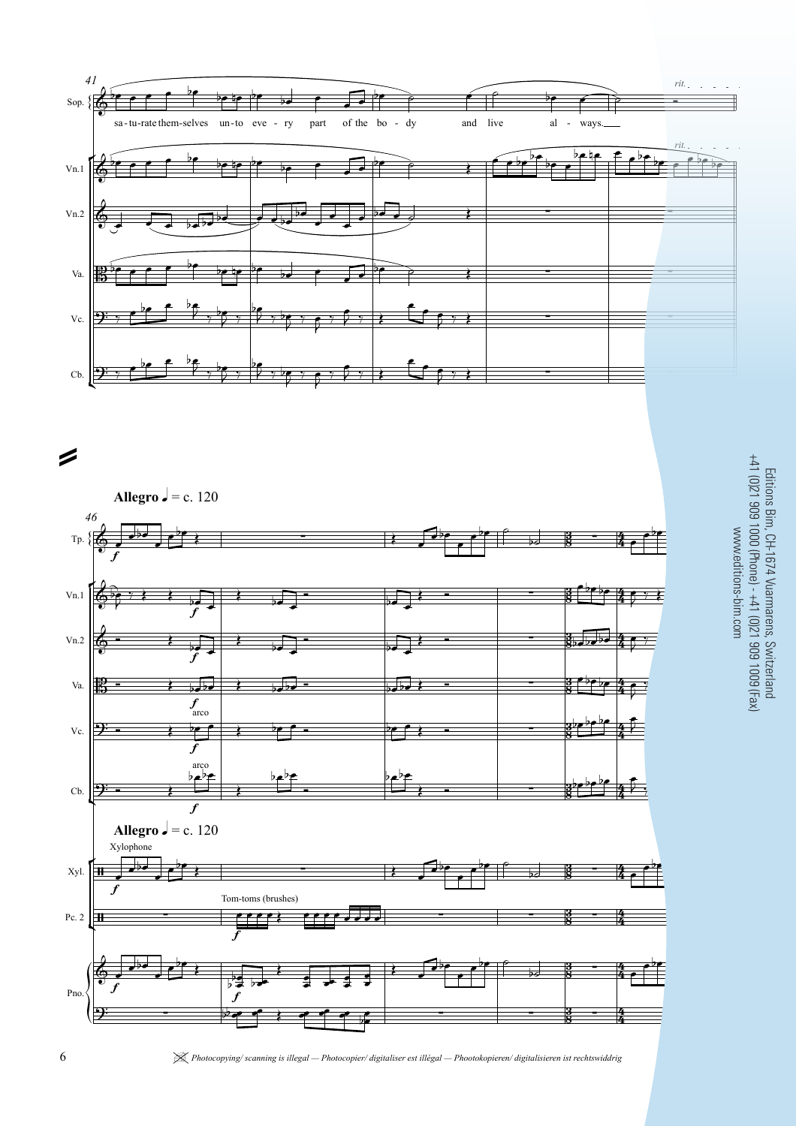

 $\mathcal{L}$  and the set of the set of the set of the set of the set of the set of the set of the set of the set of the set of the set of the set of the set of the set of the set of the set of the set of the set of the set of



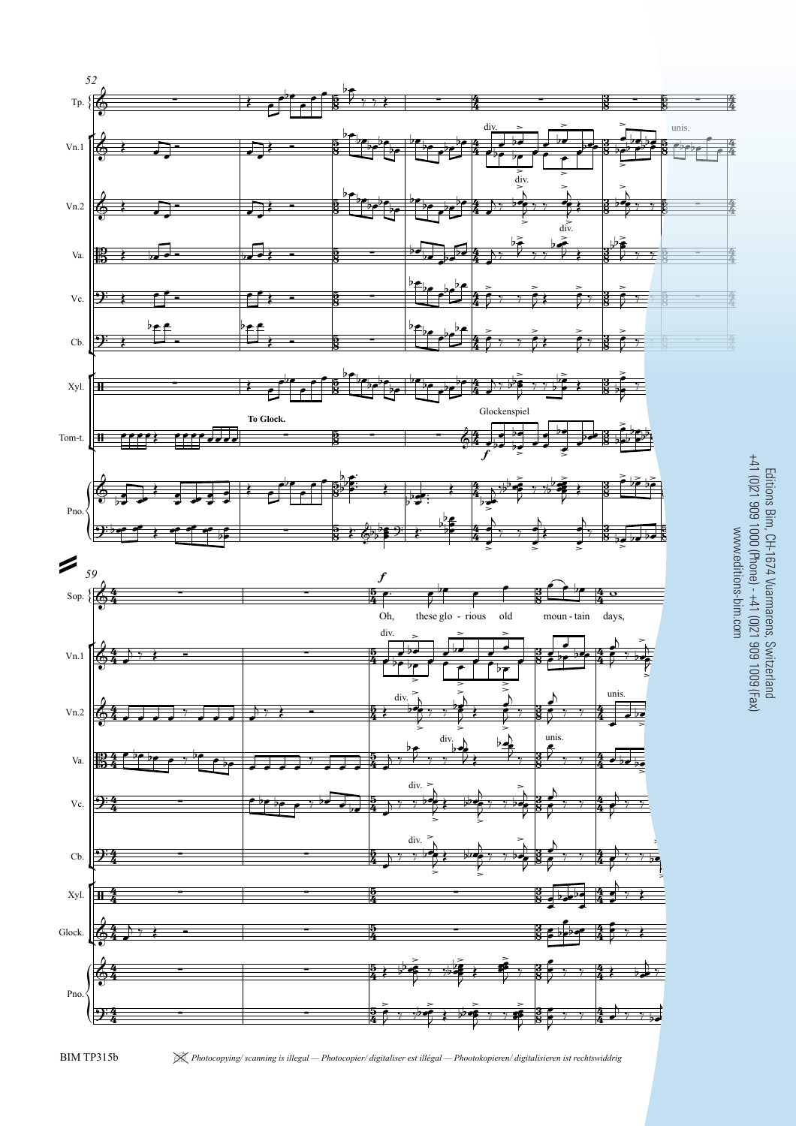

Editions Bim, CH-1674 Vuarmarens, Switzerland<br>+41 (0)21 909 1000 (Phone) - +41 (0)21 909 1009 (Fax) +41 (0)21 909 1000 (Phone) - +41 (0)21 909 1009 (Fax) Editions Bim, CH-1674 Vuarmarens, Switzerland www.editions-bim.com

BIM TP315b <sup>|</sup> *Photocopying/ scanning is illegal — Photocopier/ digitaliser est illégal — Phootokopieren/ digitalisieren ist rechtswiddrig* 7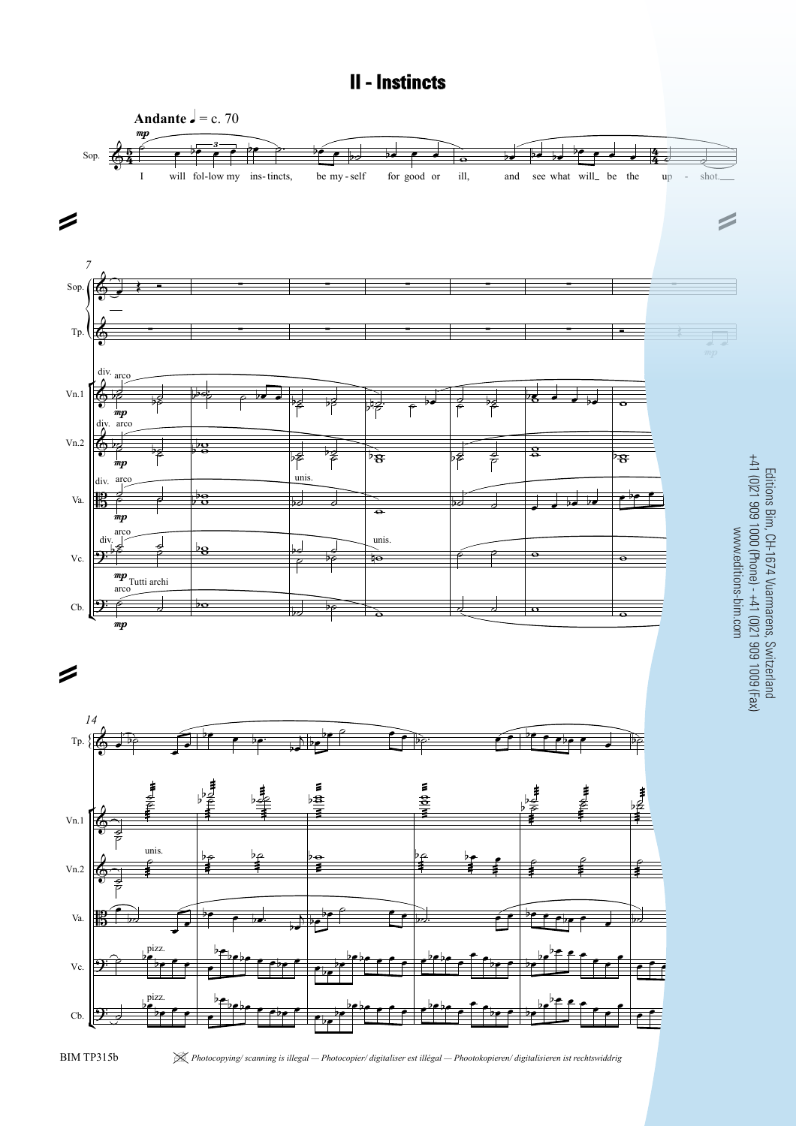





 $\cancel{\mathcal{K}}$  Photocopying/scanning is illegal - Photocopier/digitaliser est illégal - Phootokopieren/digitalisieren ist rechtswiddrig

Editions Bim, CH-1674 Vuarmarens, Switzerland<br>+41 (0)21 909 1000 (Phone) - +41 (0)21 909 1009 (Fax)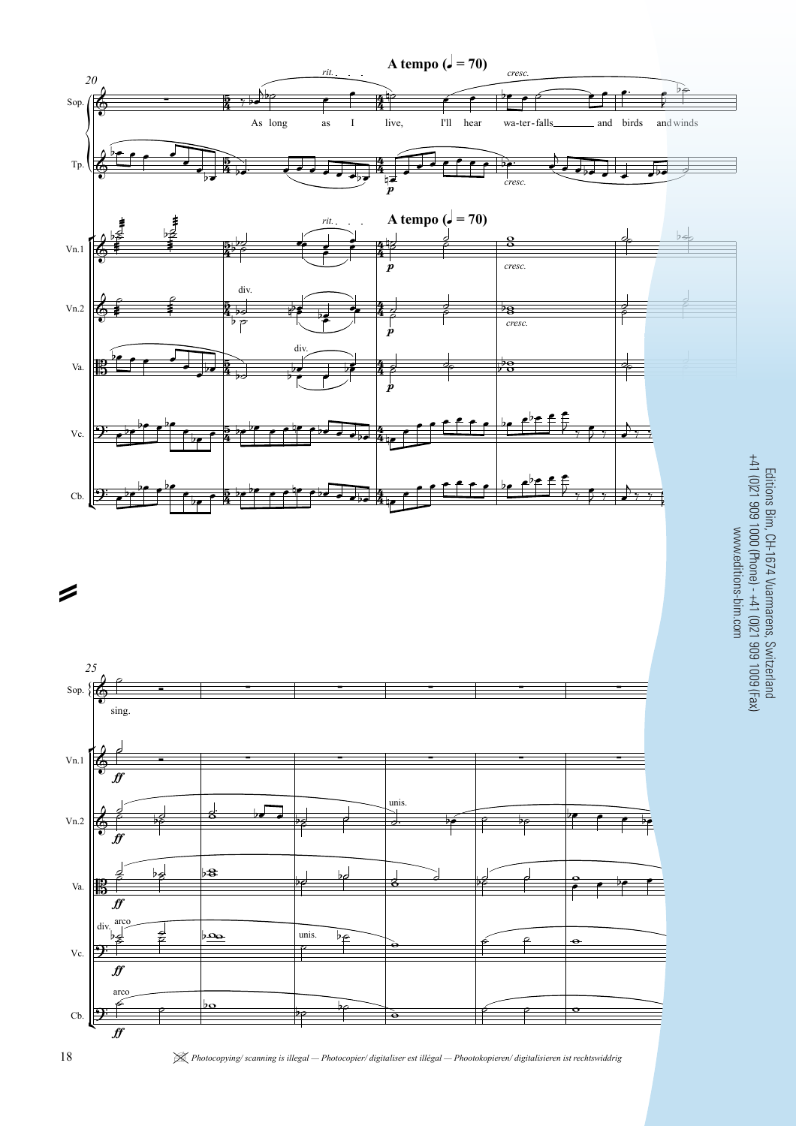





18 <sup>|</sup> *Photocopying/ scanning is illegal — Photocopier/ digitaliser est illégal — Phootokopieren/ digitalisieren ist rechtswiddrig* BIM TP315b

Editions Bim, CH-1674 Vuarmarens, Switzerland +41 (0)21 909 1000 (Phone) - +41 (0)21 909 1009 (Fax) www.editions-bim.com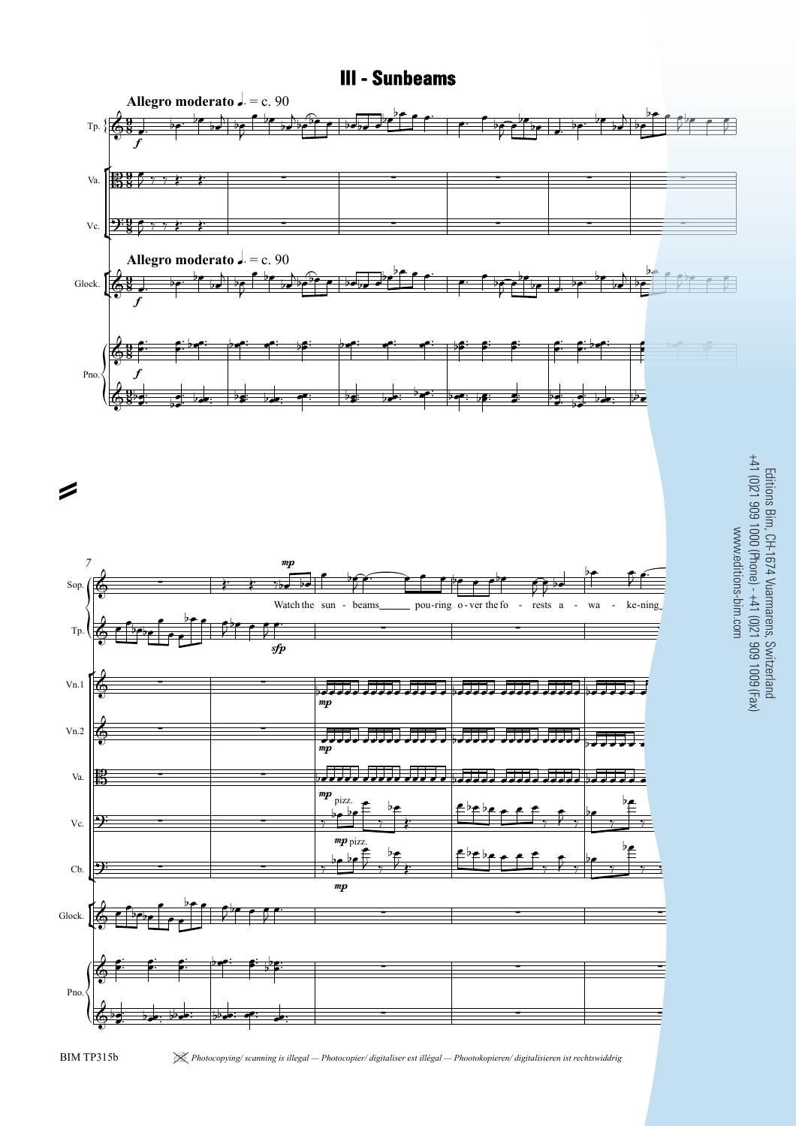

BIM TP315b <sup>|</sup> *Photocopying/ scanning is illegal — Photocopier/ digitaliser est illégal — Phootokopieren/ digitalisieren ist rechtswiddrig* 21

Editions Bim, CH-1674 Vuarmarens, Switzerland<br>+41 (0)21 909 1000 (Phone) - +41 (0)21 909 1009 (Fax) +41 (0)21 909 1000 (Phone) - +41 (0)21 909 1009 (Fax) Editions Bim, CH-1674 Vuarmarens, Switzerland www.editions-bim.com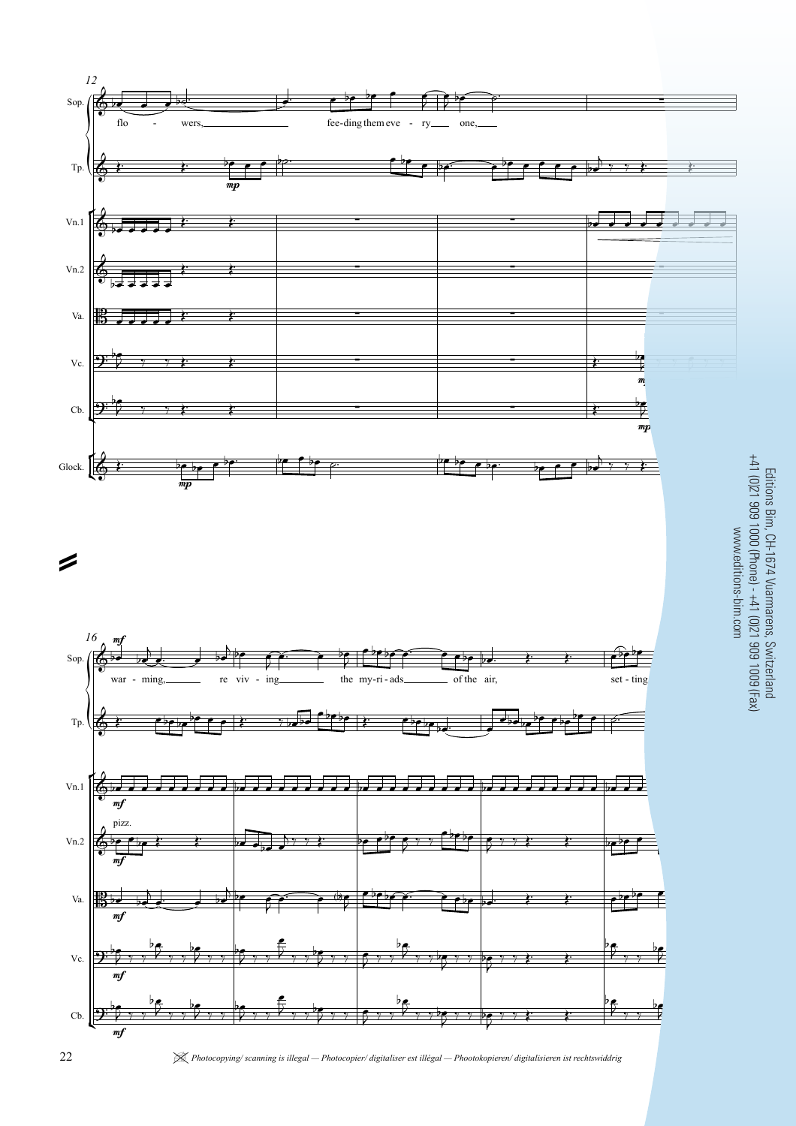



22 <sup>|</sup> *Photocopying/ scanning is illegal — Photocopier/ digitaliser est illégal — Phootokopieren/ digitalisieren ist rechtswiddrig* BIM TP315b

Editions Bim, CH-1674 Vuarmarens, Switzerland +41 (0)21 909 1000 (Phone) - +41 (0)21 909 1009 (Fax)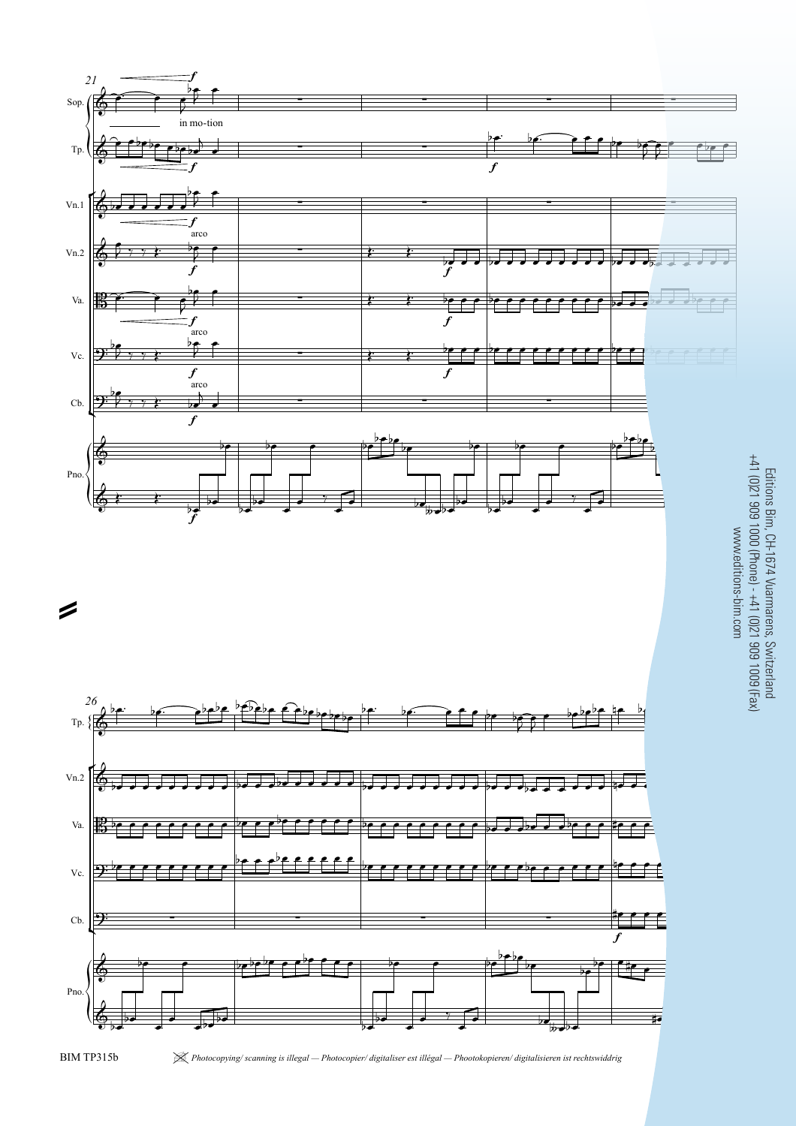





BIM TP315b <sup>|</sup> *Photocopying/ scanning is illegal — Photocopier/ digitaliser est illégal — Phootokopieren/ digitalisieren ist rechtswiddrig* 23

Editions Bim, CH-1674 Vuarmarens, Switzerland +41 (0)21 909 1000 (Phone) - +41 (0)21 909 1009 (Fax) www.editions-bim.com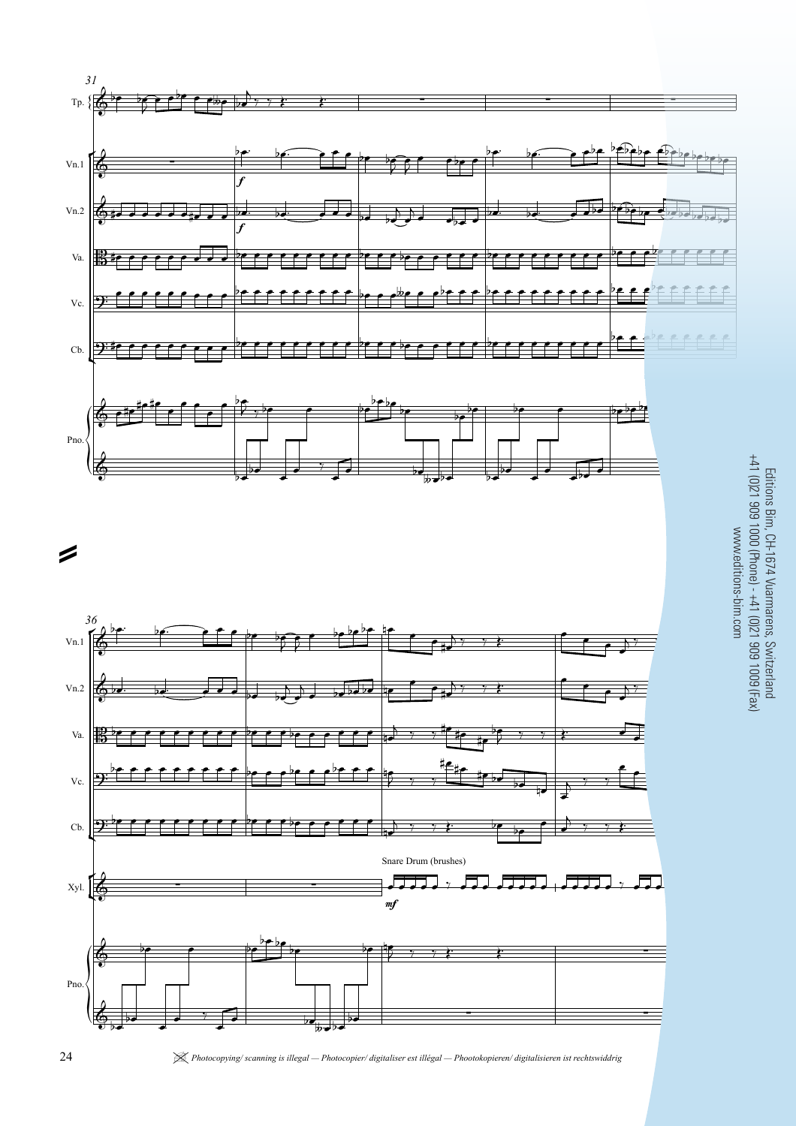

Editions Bim, CH-1674 Vuarmarens, Switzerland +41 (0)21 909 1000 (Phone) - +41 (0)21 909 1009 (Fax) www.editions-bim.com

<sup>24</sup> <sup>|</sup> *Photocopying/ scanning is illegal — Photocopier/ digitaliser est illégal — Phootokopieren/ digitalisieren ist rechtswiddrig* BIM TP315b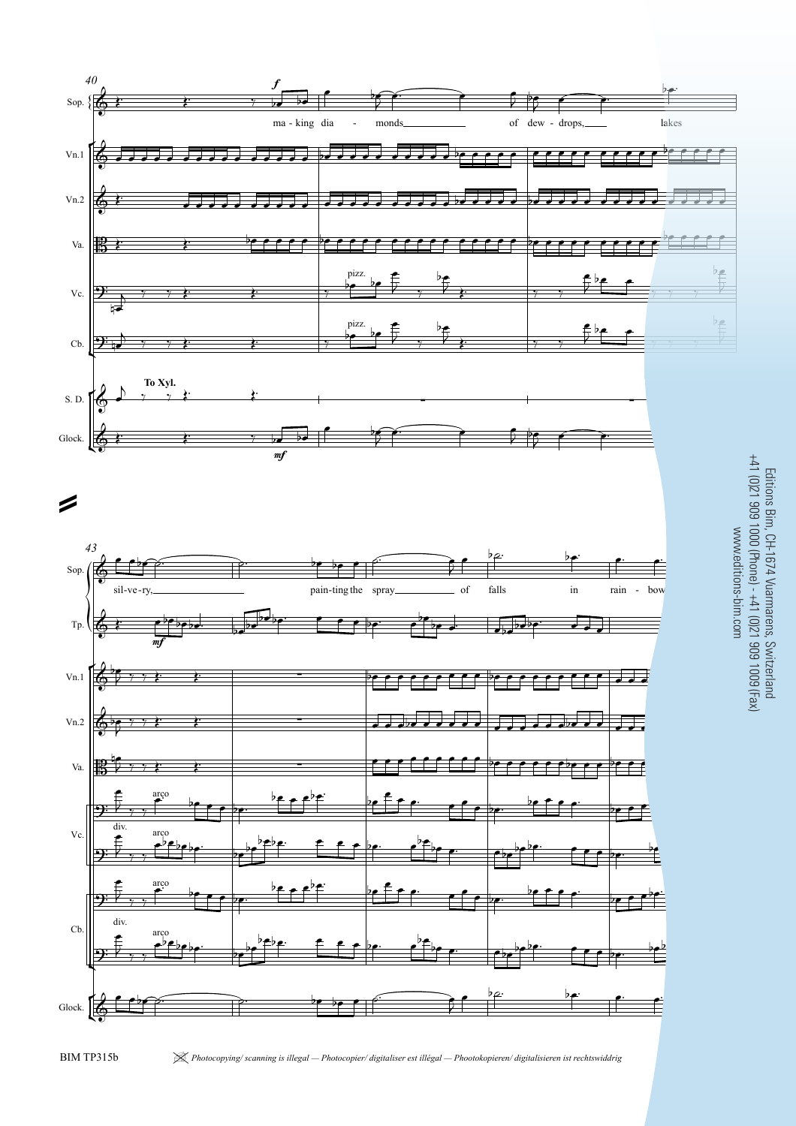

Editions Bim, CH-1674 Vuarmarens, Switzerland<br>+41 (0)21 909 1000 (Phone) - +41 (0)21 909 1009 (Fax) +41 (0)21 909 1000 (Phone) - +41 (0)21 909 1009 (Fax) Editions Bim, CH-1674 Vuarmarens, Switzerland www.editions-bim.com

BIM TP315b <sup>|</sup> *Photocopying/ scanning is illegal — Photocopier/ digitaliser est illégal — Phootokopieren/ digitalisieren ist rechtswiddrig* 25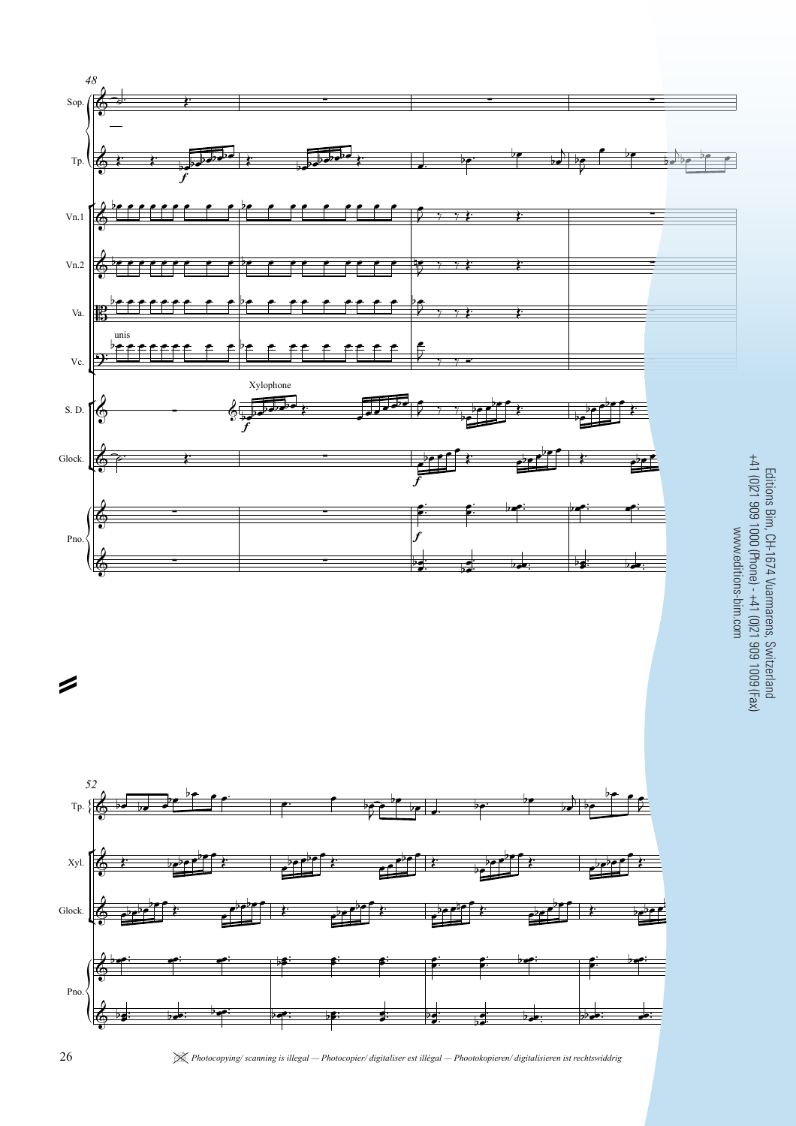

Editions Bim, CH-1674 Vuarmarens, Switzerland<br>+41 (0)21 909 1000 (Phone) - +41 (0)21 909 1009 (Fax) +41 (0)21 909 1000 (Phone) - +41 (0)21 909 1009 (Fax) Editions Bim, CH-1674 Vuarmarens, Switzerland

<sup>26</sup> <sup>|</sup> *Photocopying/ scanning is illegal — Photocopier/ digitaliser est illégal — Phootokopieren/ digitalisieren ist rechtswiddrig* BIM TP315b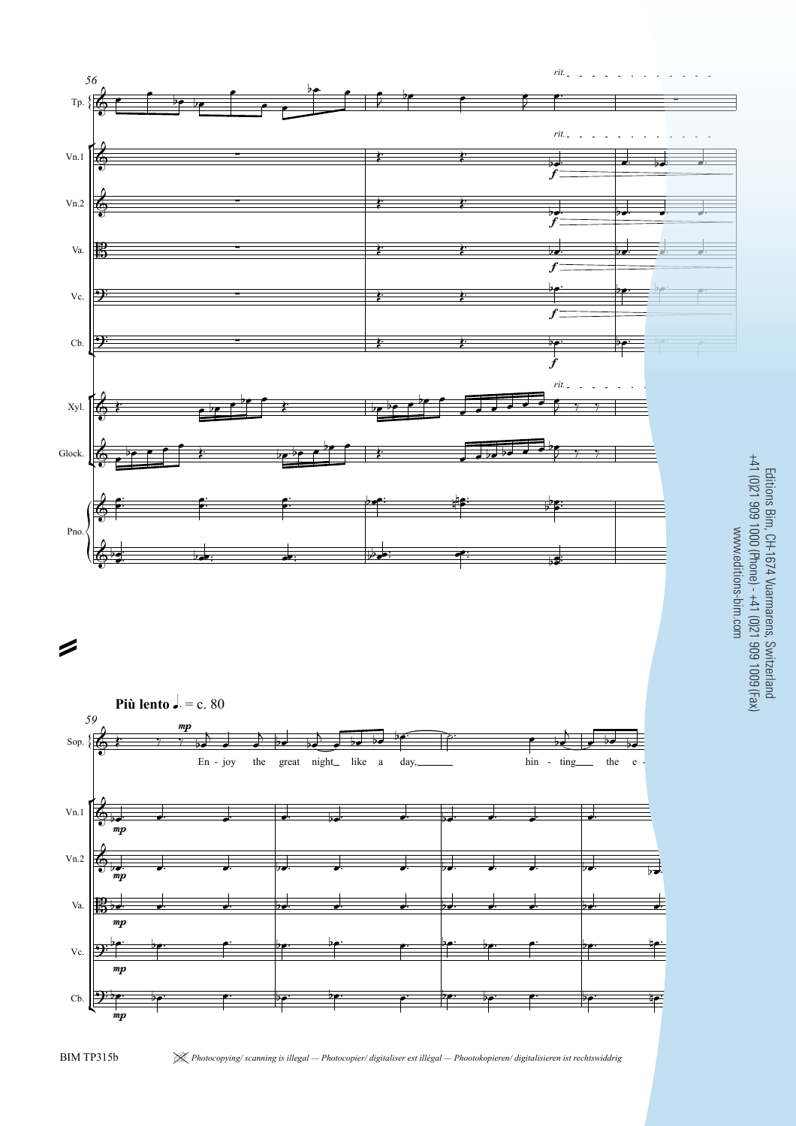

Editions Bim, CH-1674 Vuarmarens, Switzerland +41 (0)21 909 1000 (Phone) - +41 (0)21 909 1009 (Fax)

¢

 $\mathbf{P}$ 

<u>.</u>

mp

mp

mp

Vc.

Cb.

BIM TP315b <sup>|</sup> *Photocopying/ scanning is illegal — Photocopier/ digitaliser est illégal — Phootokopieren/ digitalisieren ist rechtswiddrig* 27

<u>be be we be be e</u> be be a <u>me de </u>

<u>be per so per per so per per so per per die:</u>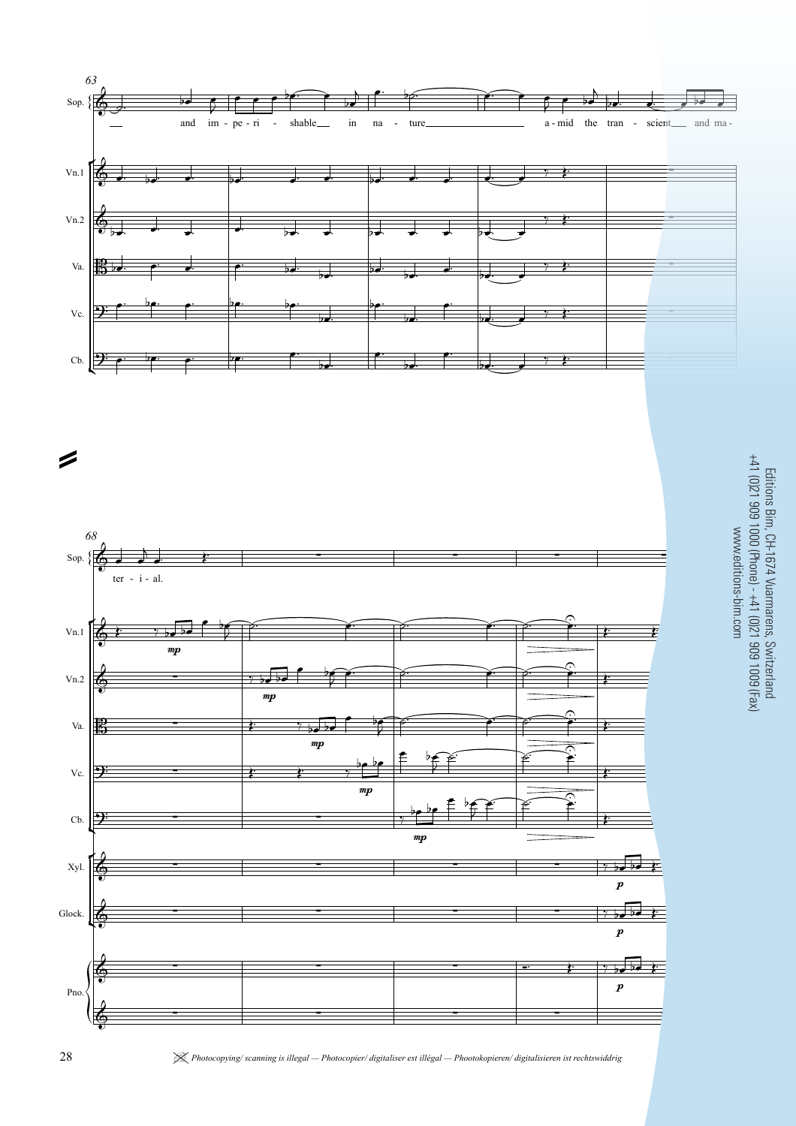

 $\mathcal{L}$  and the set of the set of the set of the set of the set of the set of the set of the set of the set of the set of the set of the set of the set of the set of the set of the set of the set of the set of the set of



Editions Bim, CH-1674 Vuarmarens, Switzerland +41 (0)21 909 1000 (Phone) - +41 (0)21 909 1009 (Fax) www.editions-bim.com

28 *Photocopying/ scanning is illegal — Photocopier/ digitaliser est illégal — Phootokopieren/ digitalisieren ist rechtswiddrig*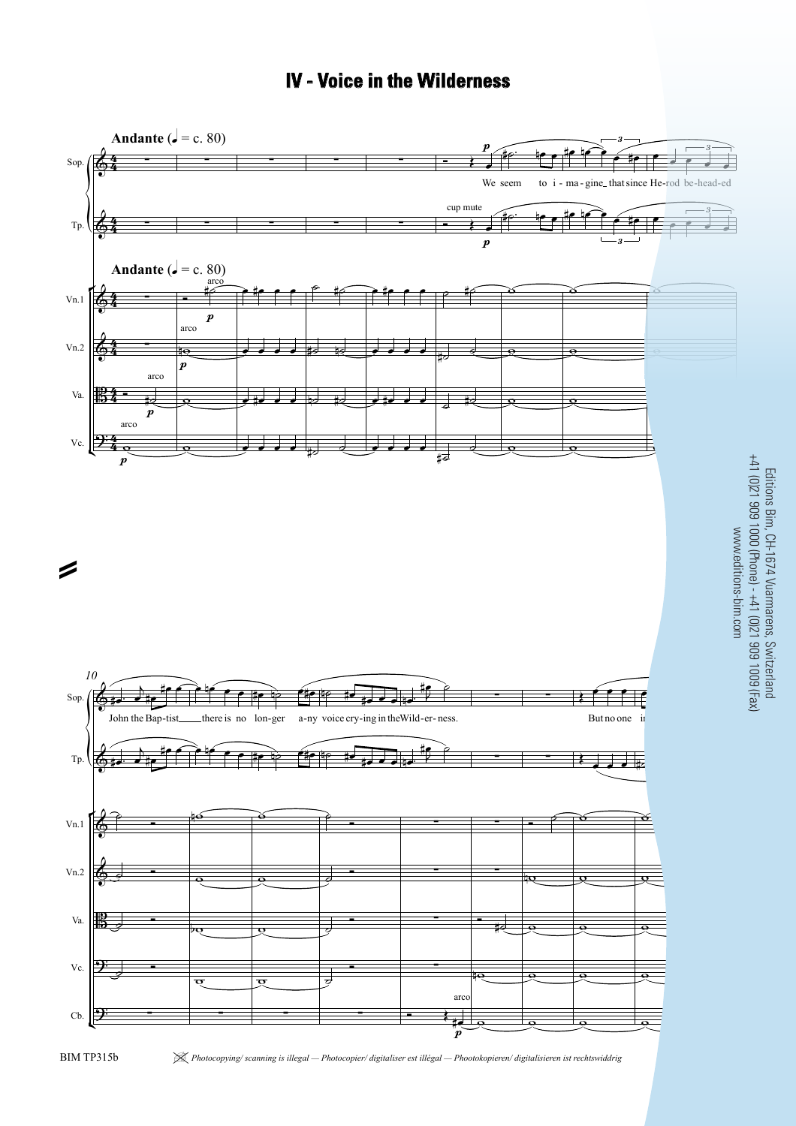## **IV - Voice in the Wilderness**



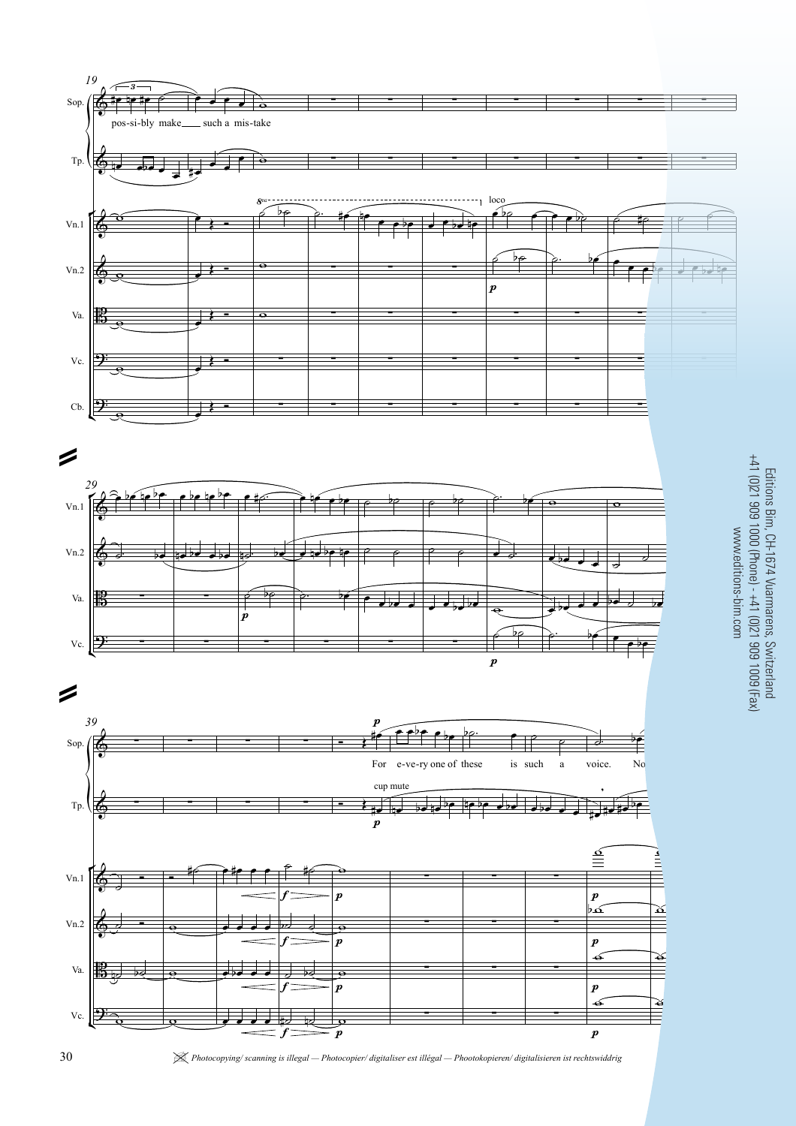

30 <sup>|</sup> *Photocopying/ scanning is illegal — Photocopier/ digitaliser est illégal — Phootokopieren/ digitalisieren ist rechtswiddrig* BIM TP315b

Editions Bim, CH-1674 Vuarmarens, Switzerland<br>+41 (0)21 909 1000 (Phone) - +41 (0)21 909 1009 (Fax) +41 (0)21 909 1000 (Phone) - +41 (0)21 909 1009 (Fax) Editions Bim, CH-1674 Vuarmarens, Switzerland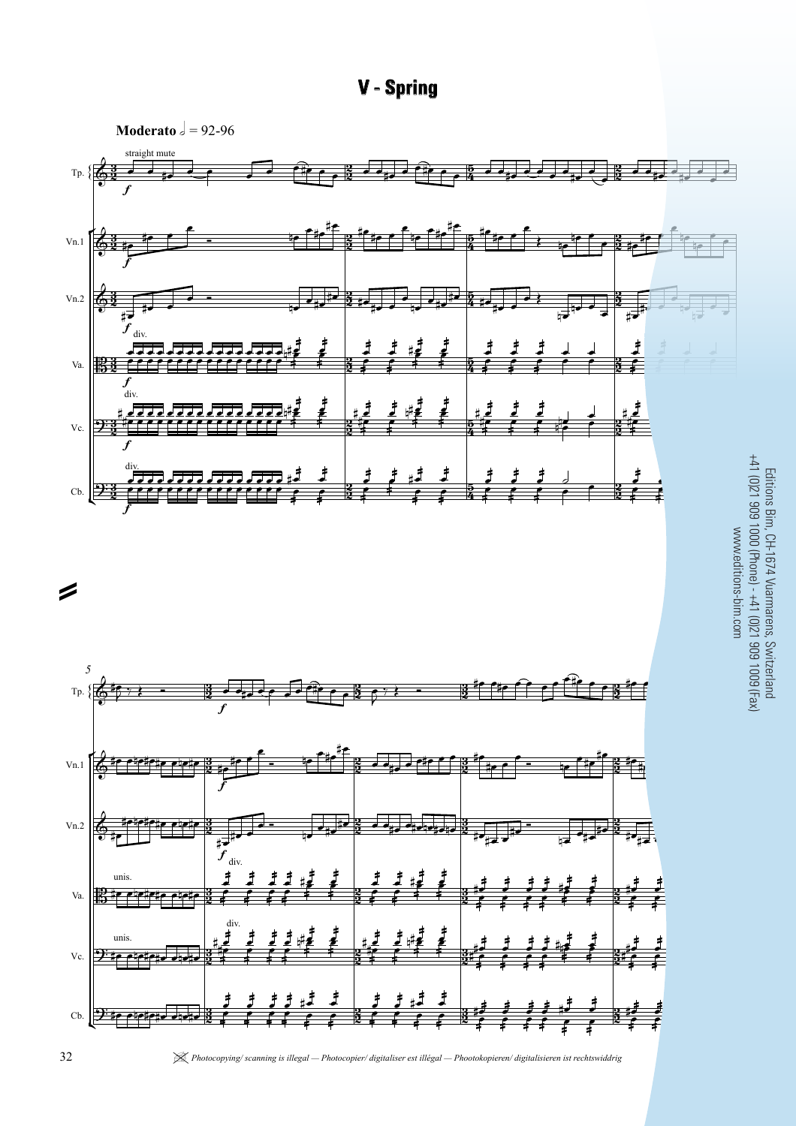V - Spring



 $\mathcal K$  Photocopying/scanning is illegal - Photocopier/digitaliser est illégal - Phootokopieren/digitalisieren ist rechtswiddrig

Editions Bim, CH-1674 Vuarmarens, Switzerland<br>+41 (0)21 909 1000 (Phone) - +41 (0)21 909 1009 (Fax) www.editions-bim.com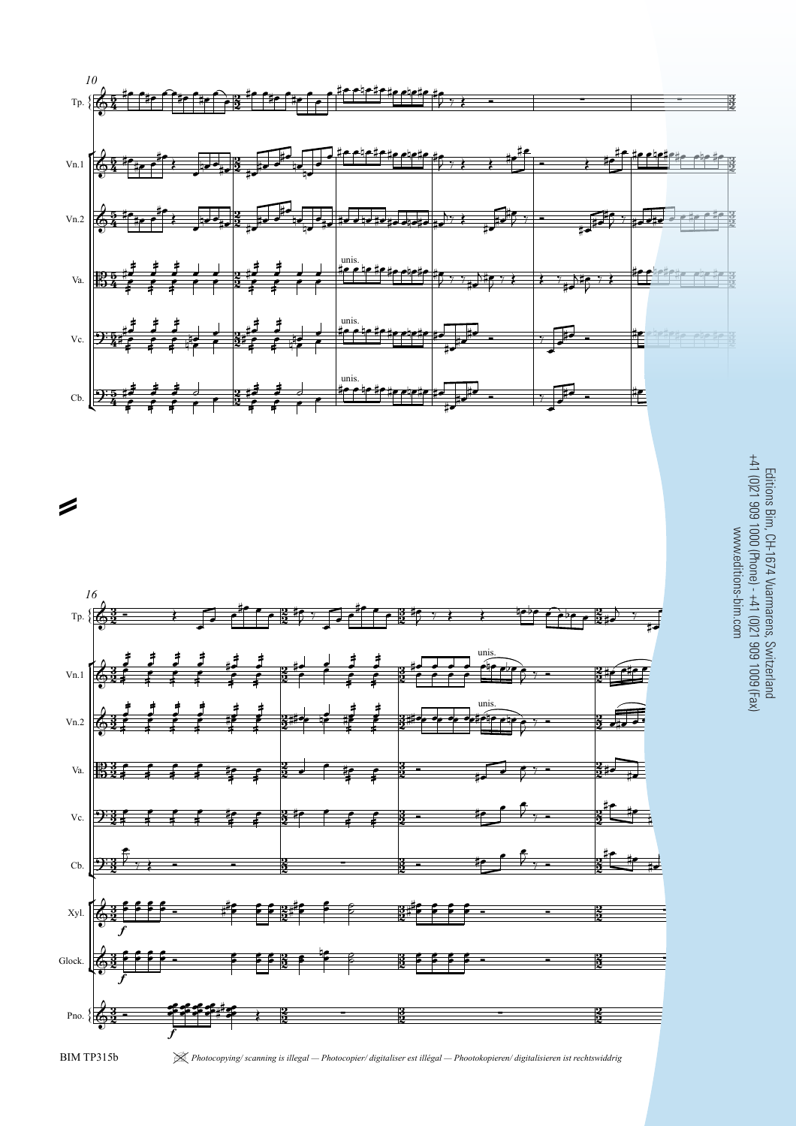



 $\mathcal K$  Photocopying/scanning is illegal - Photocopier/digitaliser est illégal - Phootokopieren/digitalisieren ist rechtswiddrig

Editions Bim, CH-1674 Vuarmarens, Switzerland<br>+41 (0)21 909 1000 (Phone) - +41 (0)21 909 1009 (Fax)<br>www.editions-bim.com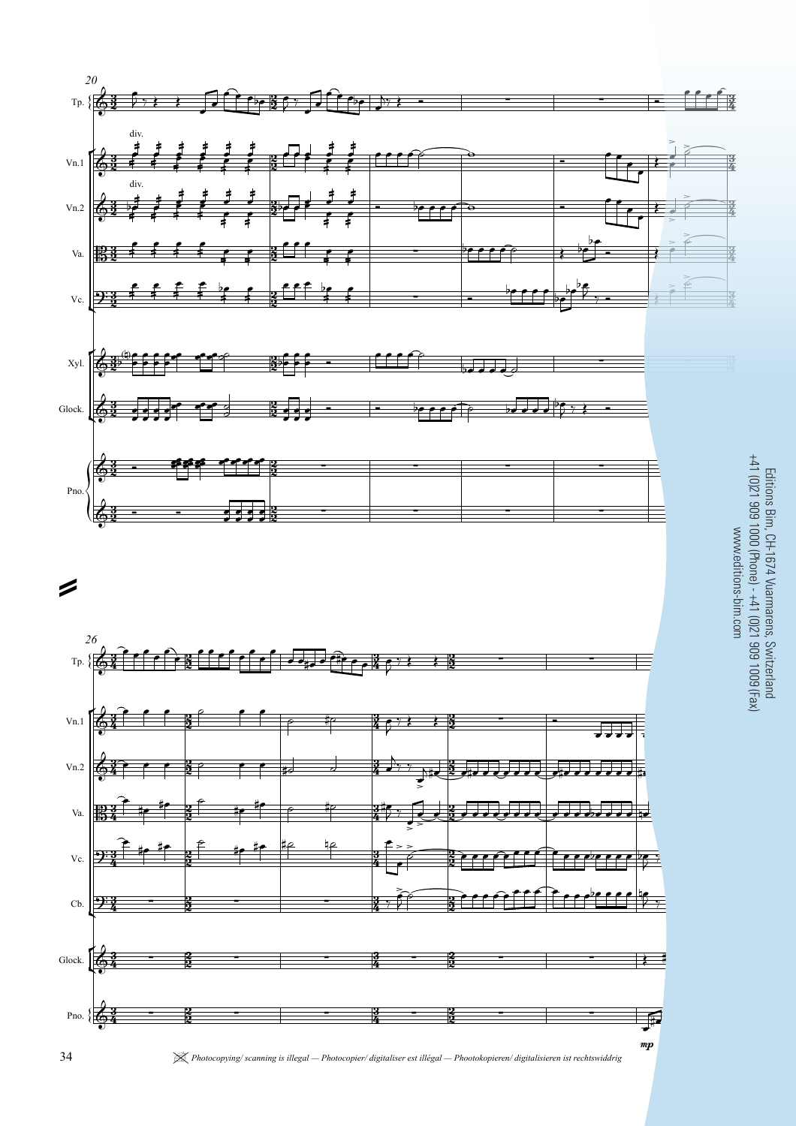

Ļ

 $\mathfrak{m}p$ 

Pno. 活

34

 $\cancel{\mathcal{K}}$  Photocopying/scanning is illegal - Photocopier/digitaliser est illégal - Phootokopieren/digitalisieren ist rechtswiddrig

Editions Bim, CH-1674 Vuarmarens, Switzerland<br>+41 (0)21 909 1000 (Phone) - +41 (0)21 909 1009 (Fax)<br>www.editions-bim.com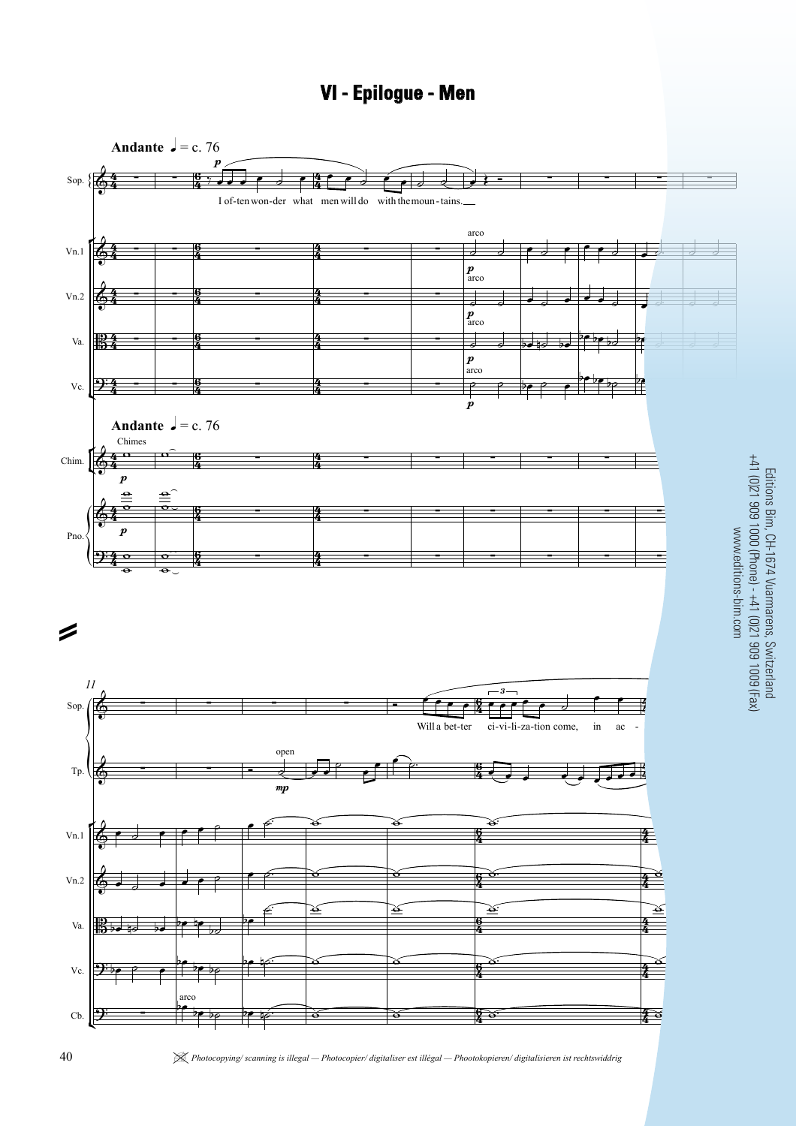## **VI - Epilogue - Men**



40 <sup>|</sup> *Photocopying/ scanning is illegal — Photocopier/ digitaliser est illégal — Phootokopieren/ digitalisieren ist rechtswiddrig* BIM TP315b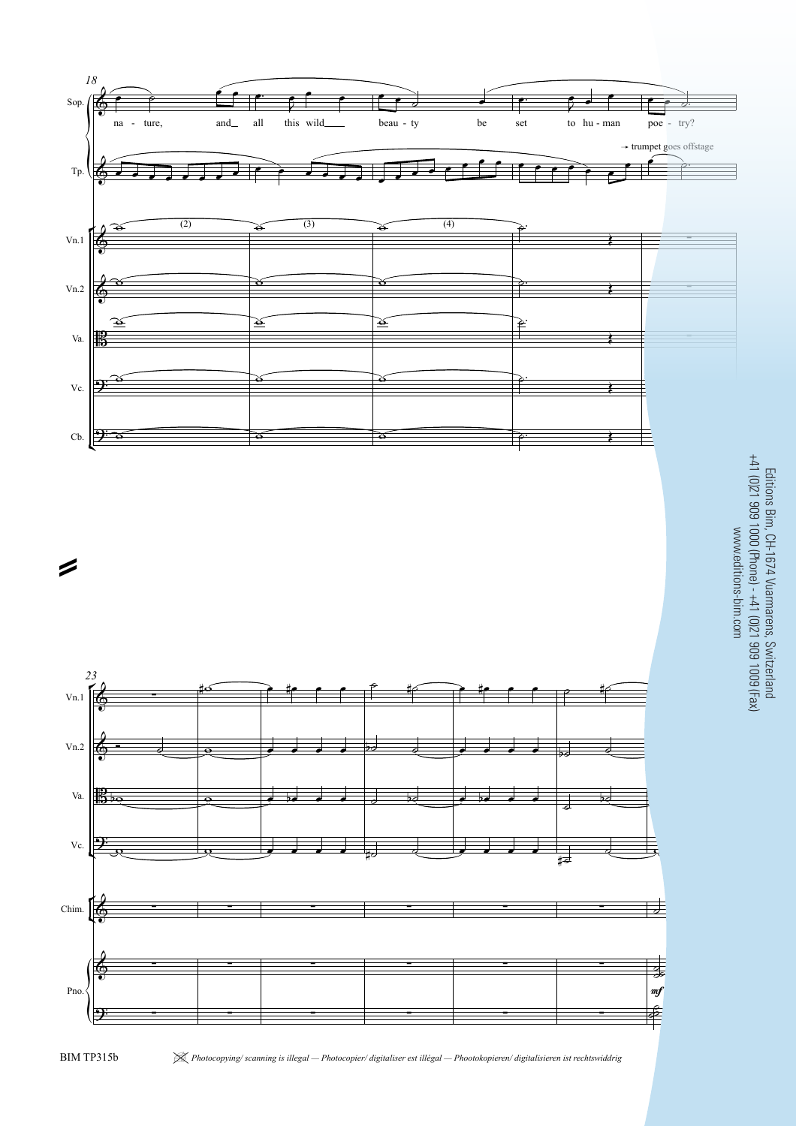





BIM TP315b <sup>|</sup> *Photocopying/ scanning is illegal — Photocopier/ digitaliser est illégal — Phootokopieren/ digitalisieren ist rechtswiddrig* 41